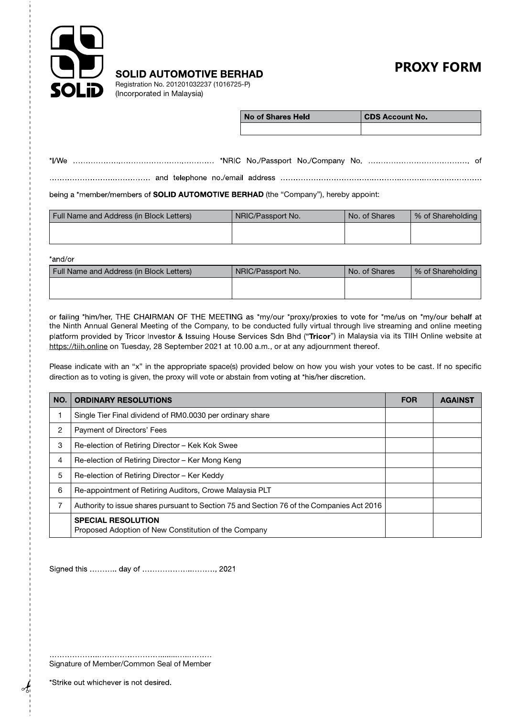

**PROXY FORM** 

**SOLID AUTOMOTIVE BERHAD** 

Registration No. 201201032237 (1016725-P) (Incorporated in Malaysia)

| No of Shares Held | CDS Account No. |
|-------------------|-----------------|
|                   |                 |

| *I/We ………………………………………………… *NRIC No./Passport No./Company No. ………………………………… of |  |  |  |  |  |  |  |
|-------------------------------------------------------------------------------|--|--|--|--|--|--|--|
|-------------------------------------------------------------------------------|--|--|--|--|--|--|--|

being a \*member/members of **SOLID AUTOMOTIVE BERHAD** (the "Company"), hereby appoint:

| Full Name and Address (in Block Letters) | NRIC/Passport No. | No. of Shares | % of Shareholding |
|------------------------------------------|-------------------|---------------|-------------------|
|                                          |                   |               |                   |
|                                          |                   |               |                   |

\*and/or

| Full Name and Address (in Block Letters) | NRIC/Passport No. | I No. of Shares | % of Shareholding |
|------------------------------------------|-------------------|-----------------|-------------------|
|                                          |                   |                 |                   |
|                                          |                   |                 |                   |

or failing \*him/her, THE CHAIRMAN OF THE MEETING as \*my/our \*proxy/proxies to vote for \*me/us on \*my/our behalf at the Ninth Annual General Meeting of the Company, to be conducted fully virtual through live streaming and online meeting platform provided by Tricor Investor & Issuing House Services Sdn Bhd ("Tricor") in Malaysia via its TIIH Online website at https://tiih.online on Tuesday, 28 September 2021 at 10.00 a.m., or at any adjournment thereof.

Please indicate with an "x" in the appropriate space(s) provided below on how you wish your votes to be cast. If no specific direction as to voting is given, the proxy will vote or abstain from voting at \*his/her discretion.

| NO. | <b>ORDINARY RESOLUTIONS</b>                                                               | <b>FOR</b> | <b>AGAINST</b> |
|-----|-------------------------------------------------------------------------------------------|------------|----------------|
|     | Single Tier Final dividend of RM0.0030 per ordinary share                                 |            |                |
| 2   | Payment of Directors' Fees                                                                |            |                |
| 3   | Re-election of Retiring Director – Kek Kok Swee                                           |            |                |
| 4   | Re-election of Retiring Director - Ker Mong Keng                                          |            |                |
| 5   | Re-election of Retiring Director – Ker Keddy                                              |            |                |
| 6   | Re-appointment of Retiring Auditors, Crowe Malaysia PLT                                   |            |                |
|     | Authority to issue shares pursuant to Section 75 and Section 76 of the Companies Act 2016 |            |                |
|     | <b>SPECIAL RESOLUTION</b><br>Proposed Adoption of New Constitution of the Company         |            |                |

Signed this ........... day of ................................. 2021

Signature of Member/Common Seal of Member

\*Strike out whichever is not desired.

 $\partial_{\theta}$